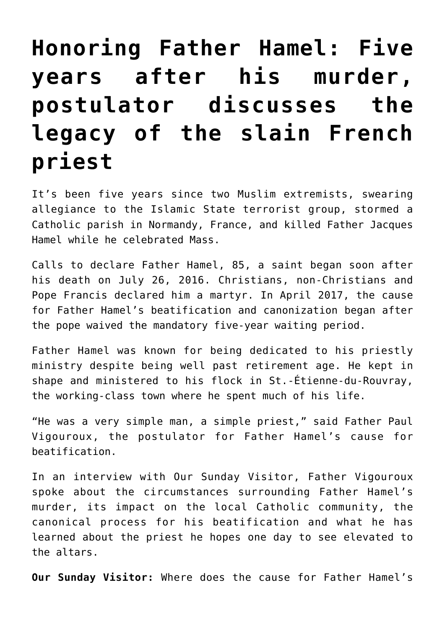## **[Honoring Father Hamel: Five](https://www.osvnews.com/amp/2021/07/26/honoring-father-hamel-five-years-after-his-murder-postulator-discusses-the-legacy-of-the-slain-french-priest/) [years after his murder,](https://www.osvnews.com/amp/2021/07/26/honoring-father-hamel-five-years-after-his-murder-postulator-discusses-the-legacy-of-the-slain-french-priest/) [postulator discusses the](https://www.osvnews.com/amp/2021/07/26/honoring-father-hamel-five-years-after-his-murder-postulator-discusses-the-legacy-of-the-slain-french-priest/) [legacy of the slain French](https://www.osvnews.com/amp/2021/07/26/honoring-father-hamel-five-years-after-his-murder-postulator-discusses-the-legacy-of-the-slain-french-priest/) [priest](https://www.osvnews.com/amp/2021/07/26/honoring-father-hamel-five-years-after-his-murder-postulator-discusses-the-legacy-of-the-slain-french-priest/)**

It's been five years since two Muslim extremists, swearing allegiance to the Islamic State terrorist group, stormed a Catholic parish in Normandy, France, and killed Father Jacques Hamel while he celebrated Mass.

Calls to declare Father Hamel, 85, a saint began soon after his death on July 26, 2016. Christians, non-Christians and Pope Francis declared him a martyr. In April 2017, the cause for Father Hamel's beatification and canonization began after the pope waived the mandatory five-year waiting period.

Father Hamel was known for being dedicated to his priestly ministry despite being well past retirement age. He kept in shape and ministered to his flock in St.-Étienne-du-Rouvray, the working-class town where he spent much of his life.

"He was a very simple man, a simple priest," said Father Paul Vigouroux, the postulator for Father Hamel's cause for beatification.

In an interview with Our Sunday Visitor, Father Vigouroux spoke about the circumstances surrounding Father Hamel's murder, its impact on the local Catholic community, the canonical process for his beatification and what he has learned about the priest he hopes one day to see elevated to the altars.

**Our Sunday Visitor:** Where does the cause for Father Hamel's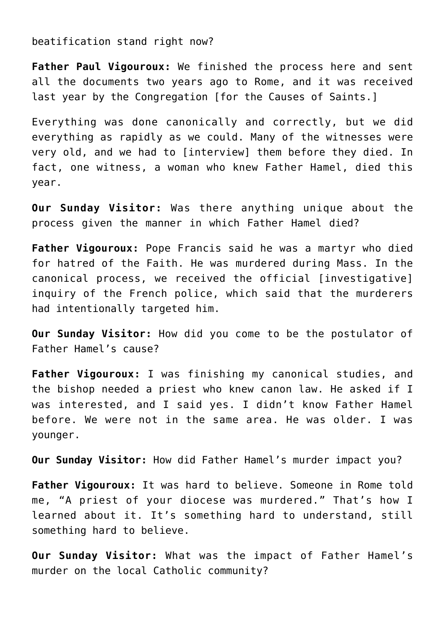beatification stand right now?

**Father Paul Vigouroux:** We finished the process here and sent all the documents two years ago to Rome, and it was received last year by the Congregation [for the Causes of Saints.]

Everything was done canonically and correctly, but we did everything as rapidly as we could. Many of the witnesses were very old, and we had to [interview] them before they died. In fact, one witness, a woman who knew Father Hamel, died this year.

**Our Sunday Visitor:** Was there anything unique about the process given the manner in which Father Hamel died?

**Father Vigouroux:** Pope Francis said he was a martyr who died for hatred of the Faith. He was murdered during Mass. In the canonical process, we received the official [investigative] inquiry of the French police, which said that the murderers had intentionally targeted him.

**Our Sunday Visitor:** How did you come to be the postulator of Father Hamel's cause?

**Father Vigouroux:** I was finishing my canonical studies, and the bishop needed a priest who knew canon law. He asked if I was interested, and I said yes. I didn't know Father Hamel before. We were not in the same area. He was older. I was younger.

**Our Sunday Visitor:** How did Father Hamel's murder impact you?

**Father Vigouroux:** It was hard to believe. Someone in Rome told me, "A priest of your diocese was murdered." That's how I learned about it. It's something hard to understand, still something hard to believe.

**Our Sunday Visitor:** What was the impact of Father Hamel's murder on the local Catholic community?